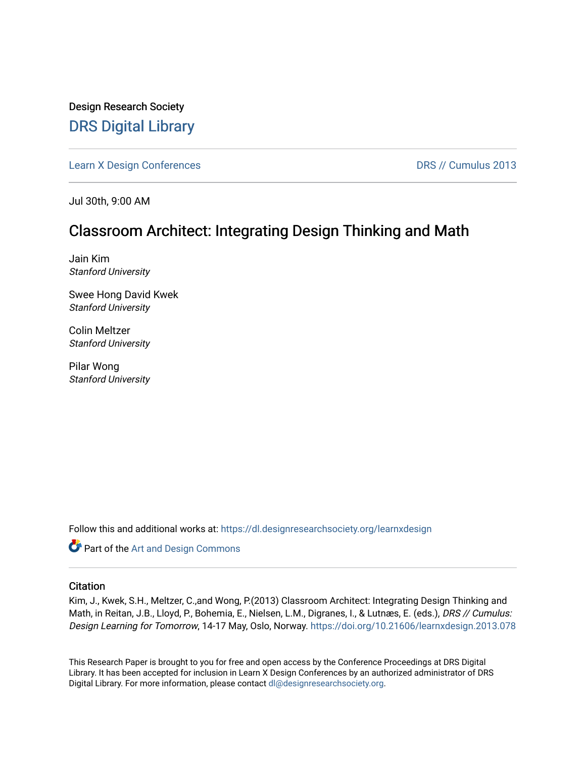Design Research Society [DRS Digital Library](https://dl.designresearchsociety.org/)

[Learn X Design Conferences](https://dl.designresearchsociety.org/learnxdesign) **DRS // Cumulus 2013** 

Jul 30th, 9:00 AM

# Classroom Architect: Integrating Design Thinking and Math

Jain Kim Stanford University

Swee Hong David Kwek Stanford University

Colin Meltzer Stanford University

Pilar Wong Stanford University

Follow this and additional works at: [https://dl.designresearchsociety.org/learnxdesign](https://dl.designresearchsociety.org/learnxdesign?utm_source=dl.designresearchsociety.org%2Flearnxdesign%2Flearnxdesign2013%2Fresearchpapers%2F77&utm_medium=PDF&utm_campaign=PDFCoverPages)

**Part of the [Art and Design Commons](http://network.bepress.com/hgg/discipline/1049?utm_source=dl.designresearchsociety.org%2Flearnxdesign%2Flearnxdesign2013%2Fresearchpapers%2F77&utm_medium=PDF&utm_campaign=PDFCoverPages)** 

## **Citation**

Kim, J., Kwek, S.H., Meltzer, C.,and Wong, P.(2013) Classroom Architect: Integrating Design Thinking and Math, in Reitan, J.B., Lloyd, P., Bohemia, E., Nielsen, L.M., Digranes, I., & Lutnæs, E. (eds.), DRS // Cumulus: Design Learning for Tomorrow, 14-17 May, Oslo, Norway. <https://doi.org/10.21606/learnxdesign.2013.078>

This Research Paper is brought to you for free and open access by the Conference Proceedings at DRS Digital Library. It has been accepted for inclusion in Learn X Design Conferences by an authorized administrator of DRS Digital Library. For more information, please contact [dl@designresearchsociety.org](mailto:dl@designresearchsociety.org).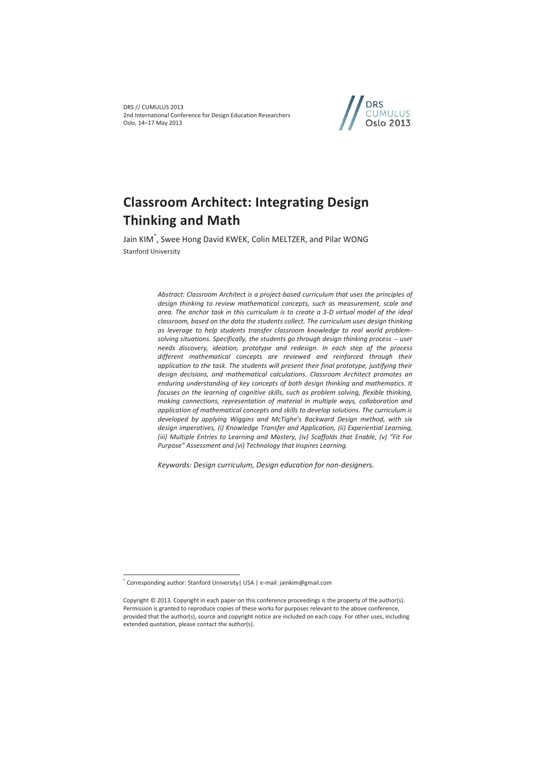

# **Classroom Architect: Integrating Design Thinking and Math**

Jain KIM\* , Swee Hong David KWEK, Colin MELTZER, and Pilar WONG Stanford University

> *Abstract: Classroom Architect is a project-based curriculum that uses the principles of design thinking to review mathematical concepts, such as measurement, scale and area. The anchor task in this curriculum is to create a 3-D virtual model of the ideal classroom, based on the data the students collect. The curriculum uses design thinking as leverage to help students transfer classroom knowledge to real world problemsolving situations. Specifically, the students go through design thinking process -- user needs discovery, ideation, prototype and redesign. In each step of the process different mathematical concepts are reviewed and reinforced through their application to the task. The students will present their final prototype, justifying their design decisions, and mathematical calculations. Classroom Architect promotes an enduring understanding of key concepts of both design thinking and mathematics. It focuses on the learning of cognitive skills, such as problem solving, flexible thinking, making connections, representation of material in multiple ways, collaboration and application of mathematical concepts and skills to develop solutions. The curriculum is developed by applying Wiggins and McTighe's Backward Design method, with six design imperatives, (i) Knowledge Transfer and Application, (ii) Experiential Learning, (iii) Multiple Entries to Learning and Mastery, (iv) Scaffolds that Enable, (v) "Fit For Purpose" Assessment and (vi) Technology that Inspires Learning.*

*Keywords: Design curriculum, Design education for non-designers.* 

 $\overline{a}$ 

<sup>\*</sup> Corresponding author: Stanford University| USA | e-mail: jainkim@gmail.com

Copyright © 2013. Copyright in each paper on this conference proceedings is the property of the author(s). Permission is granted to reproduce copies of these works for purposes relevant to the above conference, provided that the author(s), source and copyright notice are included on each copy. For other uses, including extended quotation, please contact the author(s).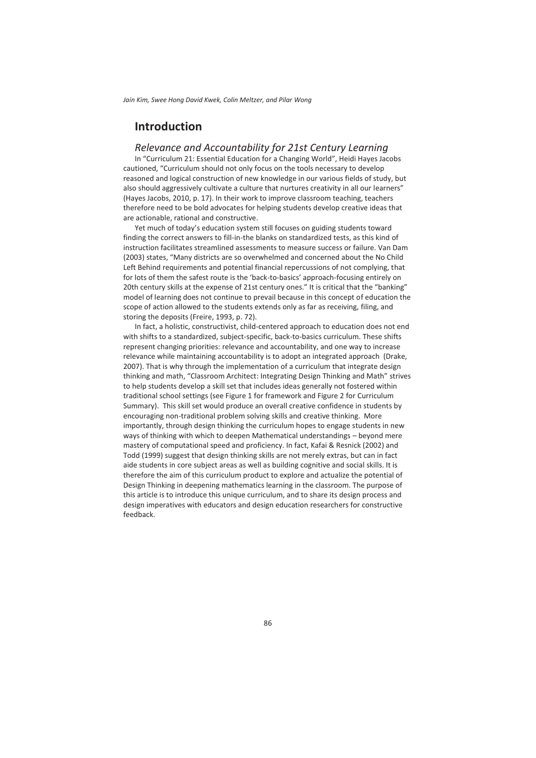# **Introduction**

#### *Relevance and Accountability for 21st Century Learning*

In "Curriculum 21: Essential Education for a Changing World", Heidi Hayes Jacobs cautioned, "Curriculum should not only focus on the tools necessary to develop reasoned and logical construction of new knowledge in our various fields of study, but also should aggressively cultivate a culture that nurtures creativity in all our learners" (Hayes Jacobs, 2010, p. 17). In their work to improve classroom teaching, teachers therefore need to be bold advocates for helping students develop creative ideas that are actionable, rational and constructive.

Yet much of today's education system still focuses on guiding students toward finding the correct answers to fill-in-the blanks on standardized tests, as this kind of instruction facilitates streamlined assessments to measure success or failure. Van Dam (2003) states, "Many districts are so overwhelmed and concerned about the No Child Left Behind requirements and potential financial repercussions of not complying, that for lots of them the safest route is the 'back-to-basics' approach-focusing entirely on 20th century skills at the expense of 21st century ones." It is critical that the "banking" model of learning does not continue to prevail because in this concept of education the scope of action allowed to the students extends only as far as receiving, filing, and storing the deposits (Freire, 1993, p. 72).

In fact, a holistic, constructivist, child-centered approach to education does not end with shifts to a standardized, subject-specific, back-to-basics curriculum. These shifts represent changing priorities: relevance and accountability, and one way to increase relevance while maintaining accountability is to adopt an integrated approach (Drake, 2007). That is why through the implementation of a curriculum that integrate design thinking and math, "Classroom Architect: Integrating Design Thinking and Math" strives to help students develop a skill set that includes ideas generally not fostered within traditional school settings (see Figure 1 for framework and Figure 2 for Curriculum Summary). This skill set would produce an overall creative confidence in students by encouraging non-traditional problem solving skills and creative thinking. More importantly, through design thinking the curriculum hopes to engage students in new ways of thinking with which to deepen Mathematical understandings – beyond mere mastery of computational speed and proficiency. In fact, Kafai & Resnick (2002) and Todd (1999) suggest that design thinking skills are not merely extras, but can in fact aide students in core subject areas as well as building cognitive and social skills. It is therefore the aim of this curriculum product to explore and actualize the potential of Design Thinking in deepening mathematics learning in the classroom. The purpose of this article is to introduce this unique curriculum, and to share its design process and design imperatives with educators and design education researchers for constructive feedback.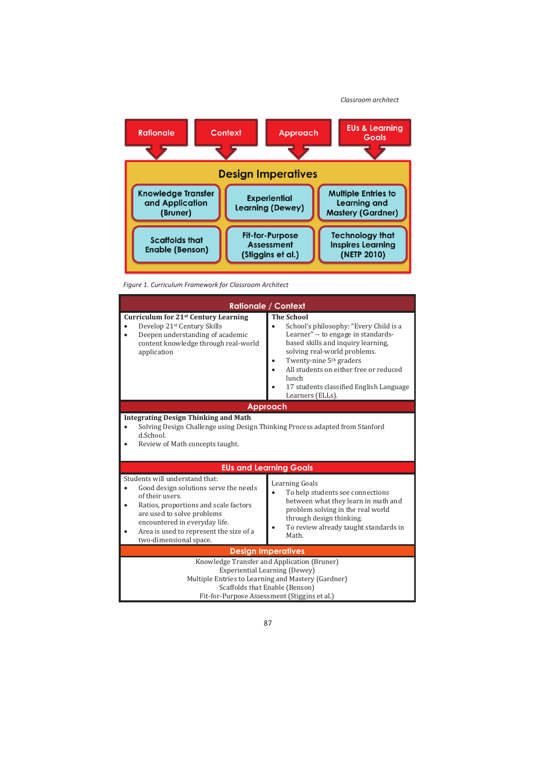*Classroom architect*



*Figure 1. Curriculum Framework for Classroom Architect* 

| <b>Rationale / Context</b>                                                                                                                                                                                                                                                   |                                                                                                                                                                                                                                                                                                                                   |  |  |  |
|------------------------------------------------------------------------------------------------------------------------------------------------------------------------------------------------------------------------------------------------------------------------------|-----------------------------------------------------------------------------------------------------------------------------------------------------------------------------------------------------------------------------------------------------------------------------------------------------------------------------------|--|--|--|
| Curriculum for 21 <sup>st</sup> Century Learning<br>Develop 21st Century Skills<br>Deepen understanding of academic<br>content knowledge through real-world<br>application                                                                                                   | <b>The School</b><br>School's philosophy: "Every Child is a<br>Learner" -- to engage in standards-<br>based skills and inquiry learning,<br>solving real-world problems.<br>Twenty-nine 5 <sup>th</sup> graders<br>All students on either free or reduced<br>lunch<br>17 students classified English Language<br>Learners (ELLs). |  |  |  |
| Approach                                                                                                                                                                                                                                                                     |                                                                                                                                                                                                                                                                                                                                   |  |  |  |
| <b>Integrating Design Thinking and Math</b><br>Solving Design Challenge using Design Thinking Process adapted from Stanford<br>d.School.<br>Review of Math concepts taught.                                                                                                  |                                                                                                                                                                                                                                                                                                                                   |  |  |  |
|                                                                                                                                                                                                                                                                              | <b>EUs and Learning Goals</b>                                                                                                                                                                                                                                                                                                     |  |  |  |
| Students will understand that:<br>Good design solutions serve the needs<br>of their users.<br>Ratios, proportions and scale factors<br>٠<br>are used to solve problems<br>encountered in everyday life.<br>Area is used to represent the size of a<br>two-dimensional space. | <b>Learning Goals</b><br>To help students see connections<br>between what they learn in math and<br>problem solving in the real world<br>through design thinking.<br>To review already taught standards in<br>Math.                                                                                                               |  |  |  |
| <b>Design Imperatives</b>                                                                                                                                                                                                                                                    |                                                                                                                                                                                                                                                                                                                                   |  |  |  |
| Knowledge Transfer and Application (Bruner)<br>Experiential Learning (Dewey)<br>Multiple Entries to Learning and Mastery (Gardner)<br>Scaffolds that Enable (Benson)<br>Fit-for-Purpose Assessment (Stiggins et al.)                                                         |                                                                                                                                                                                                                                                                                                                                   |  |  |  |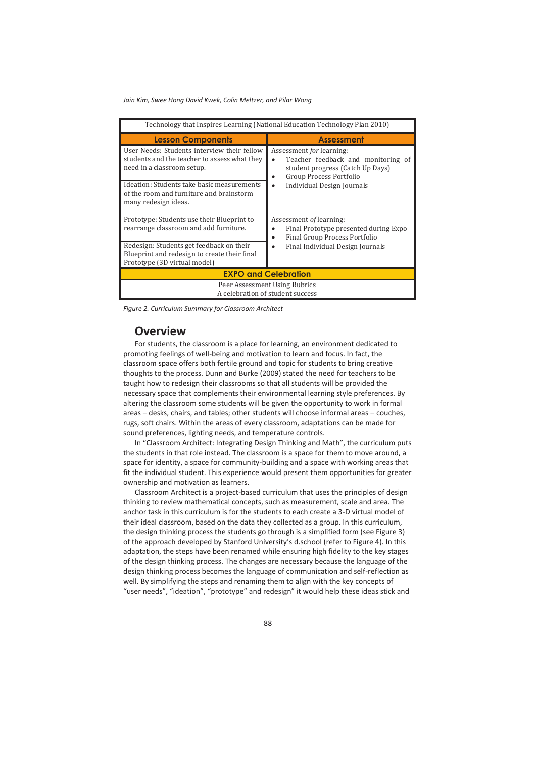| Technology that Inspires Learning (National Education Technology Plan 2010)                                                                                                                                         |                                                                                                                                                                       |  |  |  |
|---------------------------------------------------------------------------------------------------------------------------------------------------------------------------------------------------------------------|-----------------------------------------------------------------------------------------------------------------------------------------------------------------------|--|--|--|
| <b>Lesson Components</b>                                                                                                                                                                                            | <b>Assessment</b>                                                                                                                                                     |  |  |  |
| User Needs: Students interview their fellow<br>students and the teacher to assess what they<br>need in a classroom setup.<br>Ideation: Students take basic measurements<br>of the room and furniture and brainstorm | Assessment for learning:<br>Teacher feedback and monitoring of<br>student progress (Catch Up Days)<br>Group Process Portfolio<br>٠<br>Individual Design Journals<br>٠ |  |  |  |
| many redesign ideas.                                                                                                                                                                                                |                                                                                                                                                                       |  |  |  |
| Prototype: Students use their Blueprint to<br>rearrange classroom and add furniture.                                                                                                                                | Assessment of learning:<br>Final Prototype presented during Expo<br>Final Group Process Portfolio                                                                     |  |  |  |
| Redesign: Students get feedback on their                                                                                                                                                                            | Final Individual Design Journals                                                                                                                                      |  |  |  |
| Blueprint and redesign to create their final<br>Prototype (3D virtual model)                                                                                                                                        |                                                                                                                                                                       |  |  |  |
| <b>EXPO and Celebration</b>                                                                                                                                                                                         |                                                                                                                                                                       |  |  |  |
| Peer Assessment Using Rubrics<br>A celebration of student success                                                                                                                                                   |                                                                                                                                                                       |  |  |  |

*Figure 2. Curriculum Summary for Classroom Architect* 

# **Overview**

For students, the classroom is a place for learning, an environment dedicated to promoting feelings of well-being and motivation to learn and focus. In fact, the classroom space offers both fertile ground and topic for students to bring creative thoughts to the process. Dunn and Burke (2009) stated the need for teachers to be taught how to redesign their classrooms so that all students will be provided the necessary space that complements their environmental learning style preferences. By altering the classroom some students will be given the opportunity to work in formal areas – desks, chairs, and tables; other students will choose informal areas – couches, rugs, soft chairs. Within the areas of every classroom, adaptations can be made for sound preferences, lighting needs, and temperature controls.

In "Classroom Architect: Integrating Design Thinking and Math", the curriculum puts the students in that role instead. The classroom is a space for them to move around, a space for identity, a space for community-building and a space with working areas that fit the individual student. This experience would present them opportunities for greater ownership and motivation as learners.

Classroom Architect is a project-based curriculum that uses the principles of design thinking to review mathematical concepts, such as measurement, scale and area. The anchor task in this curriculum is for the students to each create a 3-D virtual model of their ideal classroom, based on the data they collected as a group. In this curriculum, the design thinking process the students go through is a simplified form (see Figure 3) of the approach developed by Stanford University's d.school (refer to Figure 4). In this adaptation, the steps have been renamed while ensuring high fidelity to the key stages of the design thinking process. The changes are necessary because the language of the design thinking process becomes the language of communication and self-reflection as well. By simplifying the steps and renaming them to align with the key concepts of "user needs", "ideation", "prototype" and redesign" it would help these ideas stick and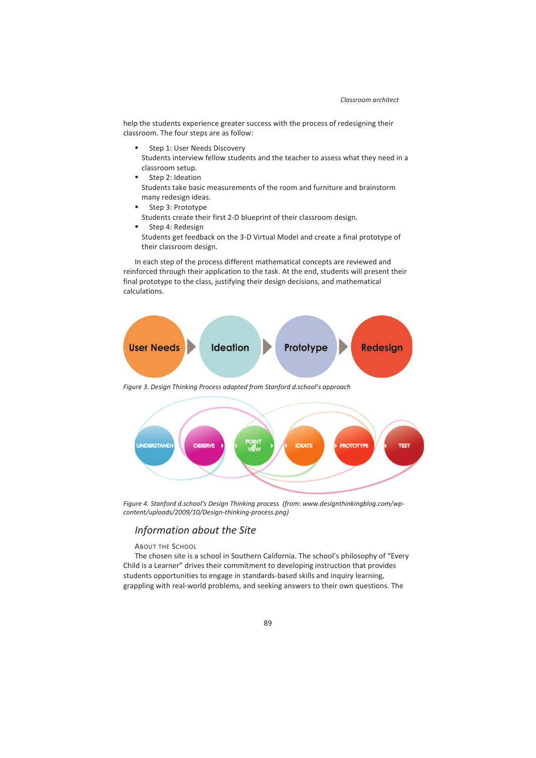help the students experience greater success with the process of redesigning their classroom. The four steps are as follow:

- Step 1: User Needs Discovery Students interview fellow students and the teacher to assess what they need in a classroom setup.
- Step 2: Ideation Students take basic measurements of the room and furniture and brainstorm many redesign ideas.
- Step 3: Prototype Students create their first 2-D blueprint of their classroom design.
- Step 4: Redesign Students get feedback on the 3-D Virtual Model and create a final prototype of their classroom design.

In each step of the process different mathematical concepts are reviewed and reinforced through their application to the task. At the end, students will present their final prototype to the class, justifying their design decisions, and mathematical calculations.



*Figure 4. Stanford d.school's Design Thinking process (from: www.designthinkingblog.com/wpcontent/uploads/2009/10/Design-thinking-process.png)* 

## *Information about the Site*

#### ABOUT THE SCHOOL

The chosen site is a school in Southern California. The school's philosophy of "Every Child is a Learner" drives their commitment to developing instruction that provides students opportunities to engage in standards-based skills and inquiry learning, grappling with real-world problems, and seeking answers to their own questions. The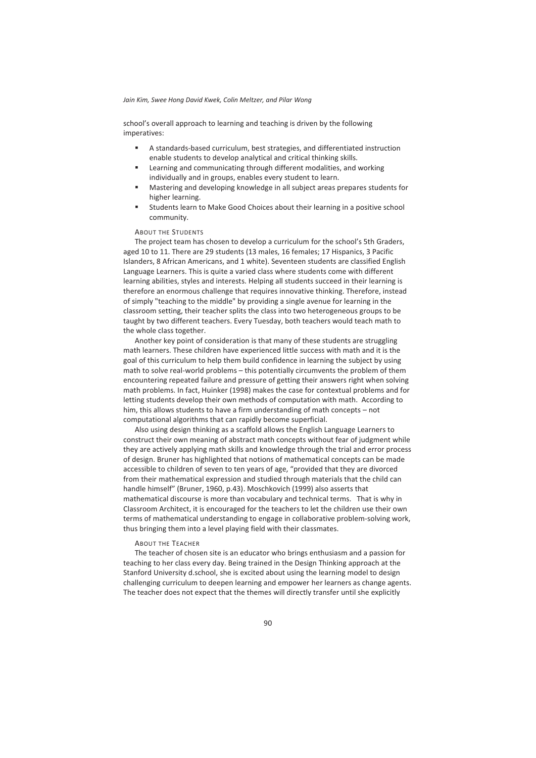school's overall approach to learning and teaching is driven by the following imperatives:

- A standards-based curriculum, best strategies, and differentiated instruction enable students to develop analytical and critical thinking skills.
- Learning and communicating through different modalities, and working individually and in groups, enables every student to learn.
- Mastering and developing knowledge in all subject areas prepares students for higher learning.
- Students learn to Make Good Choices about their learning in a positive school community.

#### ABOUT THE STUDENTS

The project team has chosen to develop a curriculum for the school's 5th Graders, aged 10 to 11. There are 29 students (13 males, 16 females; 17 Hispanics, 3 Pacific Islanders, 8 African Americans, and 1 white). Seventeen students are classified English Language Learners. This is quite a varied class where students come with different learning abilities, styles and interests. Helping all students succeed in their learning is therefore an enormous challenge that requires innovative thinking. Therefore, instead of simply "teaching to the middle" by providing a single avenue for learning in the classroom setting, their teacher splits the class into two heterogeneous groups to be taught by two different teachers. Every Tuesday, both teachers would teach math to the whole class together.

Another key point of consideration is that many of these students are struggling math learners. These children have experienced little success with math and it is the goal of this curriculum to help them build confidence in learning the subject by using math to solve real-world problems – this potentially circumvents the problem of them encountering repeated failure and pressure of getting their answers right when solving math problems. In fact, Huinker (1998) makes the case for contextual problems and for letting students develop their own methods of computation with math. According to him, this allows students to have a firm understanding of math concepts – not computational algorithms that can rapidly become superficial.

Also using design thinking as a scaffold allows the English Language Learners to construct their own meaning of abstract math concepts without fear of judgment while they are actively applying math skills and knowledge through the trial and error process of design. Bruner has highlighted that notions of mathematical concepts can be made accessible to children of seven to ten years of age, "provided that they are divorced from their mathematical expression and studied through materials that the child can handle himself" (Bruner, 1960, p.43). Moschkovich (1999) also asserts that mathematical discourse is more than vocabulary and technical terms. That is why in Classroom Architect, it is encouraged for the teachers to let the children use their own terms of mathematical understanding to engage in collaborative problem-solving work, thus bringing them into a level playing field with their classmates.

#### ABOUT THE TEACHER

The teacher of chosen site is an educator who brings enthusiasm and a passion for teaching to her class every day. Being trained in the Design Thinking approach at the Stanford University d.school, she is excited about using the learning model to design challenging curriculum to deepen learning and empower her learners as change agents. The teacher does not expect that the themes will directly transfer until she explicitly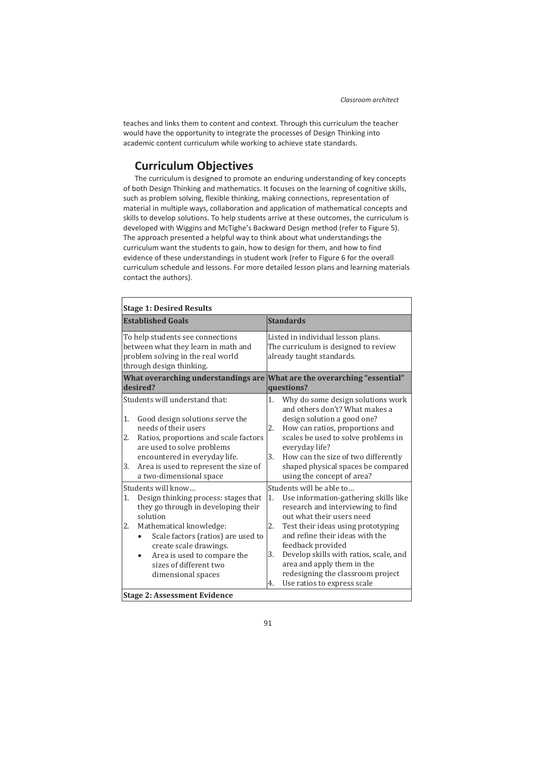teaches and links them to content and context. Through this curriculum the teacher would have the opportunity to integrate the processes of Design Thinking into academic content curriculum while working to achieve state standards.

# **Curriculum Objectives**

The curriculum is designed to promote an enduring understanding of key concepts of both Design Thinking and mathematics. It focuses on the learning of cognitive skills, such as problem solving, flexible thinking, making connections, representation of material in multiple ways, collaboration and application of mathematical concepts and skills to develop solutions. To help students arrive at these outcomes, the curriculum is developed with Wiggins and McTighe's Backward Design method (refer to Figure 5). The approach presented a helpful way to think about what understandings the curriculum want the students to gain, how to design for them, and how to find evidence of these understandings in student work (refer to Figure 6 for the overall curriculum schedule and lessons. For more detailed lesson plans and learning materials contact the authors).

| <b>Stage 1: Desired Results</b>                                                                                                                                                                                                                                                                     |                                                                                                                                                                                                                                                                                                                                                                                                       |  |  |  |
|-----------------------------------------------------------------------------------------------------------------------------------------------------------------------------------------------------------------------------------------------------------------------------------------------------|-------------------------------------------------------------------------------------------------------------------------------------------------------------------------------------------------------------------------------------------------------------------------------------------------------------------------------------------------------------------------------------------------------|--|--|--|
| <b>Established Goals</b>                                                                                                                                                                                                                                                                            | <b>Standards</b>                                                                                                                                                                                                                                                                                                                                                                                      |  |  |  |
| To help students see connections<br>between what they learn in math and<br>problem solving in the real world<br>through design thinking.<br>What overarching understandings are What are the overarching "essential"<br>desired?                                                                    | Listed in individual lesson plans.<br>The curriculum is designed to review<br>already taught standards.<br>questions?                                                                                                                                                                                                                                                                                 |  |  |  |
| Students will understand that:<br>1.<br>Good design solutions serve the<br>needs of their users<br>2.<br>Ratios, proportions and scale factors<br>are used to solve problems<br>encountered in everyday life.<br>Area is used to represent the size of<br>3.<br>a two-dimensional space             | 1.<br>Why do some design solutions work<br>and others don't? What makes a<br>design solution a good one?<br>2.<br>How can ratios, proportions and<br>scales be used to solve problems in<br>everyday life?<br>3.<br>How can the size of two differently<br>shaped physical spaces be compared<br>using the concept of area?                                                                           |  |  |  |
| Students will know<br>Design thinking process: stages that<br>1.<br>they go through in developing their<br>solution<br>2.<br>Mathematical knowledge:<br>Scale factors (ratios) are used to<br>create scale drawings.<br>Area is used to compare the<br>sizes of different two<br>dimensional spaces | Students will be able to<br>Use information-gathering skills like<br>1.<br>research and interviewing to find<br>out what their users need<br>2.<br>Test their ideas using prototyping<br>and refine their ideas with the<br>feedback provided<br>3.<br>Develop skills with ratios, scale, and<br>area and apply them in the<br>redesigning the classroom project<br>Use ratios to express scale<br>4. |  |  |  |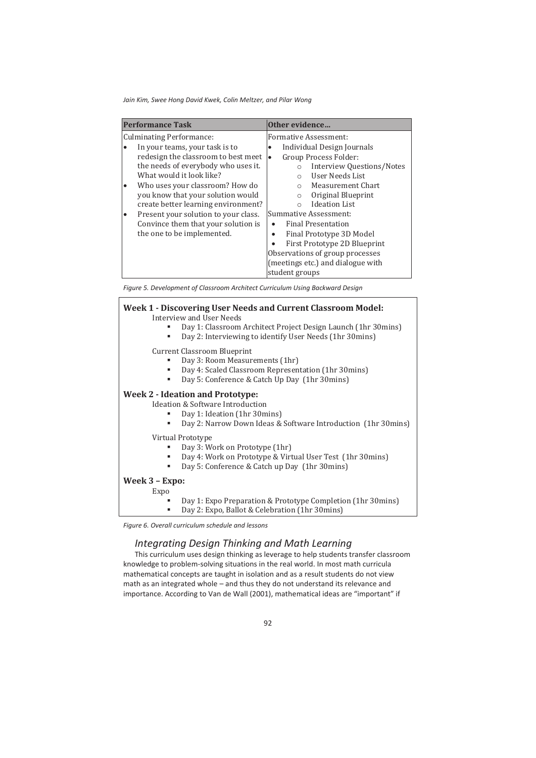| <b>Performance Task</b>                      | Other evidence                              |  |  |
|----------------------------------------------|---------------------------------------------|--|--|
| <b>Culminating Performance:</b>              | Formative Assessment:                       |  |  |
| In your teams, your task is to               | Individual Design Journals                  |  |  |
| redesign the classroom to best meet          | Group Process Folder:<br>lo                 |  |  |
| the needs of everybody who uses it.          | <b>Interview Questions/Notes</b><br>$\circ$ |  |  |
| What would it look like?                     | User Needs List<br>$\bigcirc$               |  |  |
| Who uses your classroom? How do<br>$\bullet$ | Measurement Chart<br>$\bigcirc$             |  |  |
| you know that your solution would            | Original Blueprint<br>$\circ$               |  |  |
| create better learning environment?          | <b>Ideation List</b><br>$\bigcap$           |  |  |
| Present your solution to your class.<br>٠    | Summative Assessment:                       |  |  |
| Convince them that your solution is          | Final Presentation                          |  |  |
| the one to be implemented.                   | Final Prototype 3D Model<br>٠               |  |  |
|                                              | First Prototype 2D Blueprint                |  |  |
|                                              | Observations of group processes             |  |  |
|                                              | (meetings etc.) and dialogue with           |  |  |
|                                              | student groups                              |  |  |

*Figure 5. Development of Classroom Architect Curriculum Using Backward Design* 

## **Week 1 - Discovering User Needs and Current Classroom Model:**  Interview and User Needs Day 1: Classroom Architect Project Design Launch (1hr 30mins) Day 2: Interviewing to identify User Needs (1hr 30mins) Current Classroom Blueprint Day 3: Room Measurements (1hr) Day 4: Scaled Classroom Representation (1hr 30mins) Day 5: Conference & Catch Up Day (1hr 30mins) **Week 2 - Ideation and Prototype:** Ideation & Software Introduction Day 1: Ideation (1hr 30mins) Day 2: Narrow Down Ideas & Software Introduction (1hr 30mins) Virtual Prototype Day 3: Work on Prototype (1hr) Day 4: Work on Prototype & Virtual User Test (1hr 30mins) Day 5: Conference & Catch up Day (1hr 30mins) **Week 3 – Expo:**  Expo

- Day 1: Expo Preparation & Prototype Completion (1hr 30mins)
- Day 2: Expo, Ballot & Celebration (1hr 30mins)

*Figure 6. Overall curriculum schedule and lessons* 

## *Integrating Design Thinking and Math Learning*

This curriculum uses design thinking as leverage to help students transfer classroom knowledge to problem-solving situations in the real world. In most math curricula mathematical concepts are taught in isolation and as a result students do not view math as an integrated whole – and thus they do not understand its relevance and importance. According to Van de Wall (2001), mathematical ideas are "important" if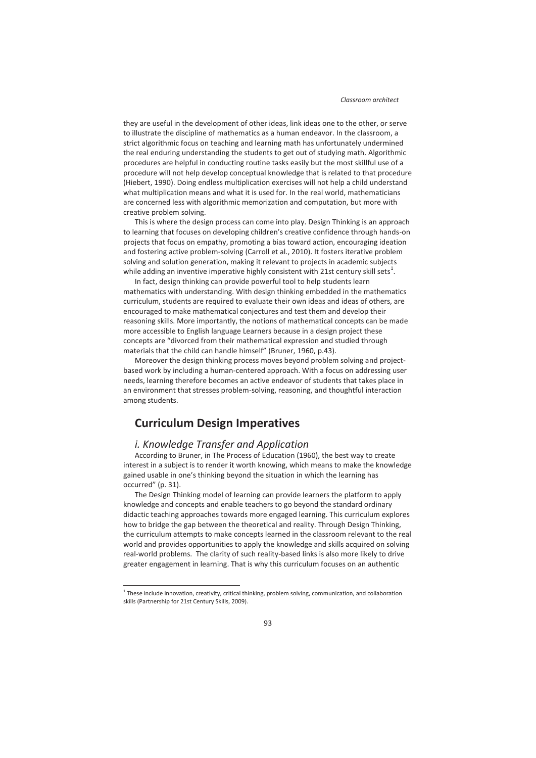they are useful in the development of other ideas, link ideas one to the other, or serve to illustrate the discipline of mathematics as a human endeavor. In the classroom, a strict algorithmic focus on teaching and learning math has unfortunately undermined the real enduring understanding the students to get out of studying math. Algorithmic procedures are helpful in conducting routine tasks easily but the most skillful use of a procedure will not help develop conceptual knowledge that is related to that procedure (Hiebert, 1990). Doing endless multiplication exercises will not help a child understand what multiplication means and what it is used for. In the real world, mathematicians are concerned less with algorithmic memorization and computation, but more with creative problem solving.

This is where the design process can come into play. Design Thinking is an approach to learning that focuses on developing children's creative confidence through hands-on projects that focus on empathy, promoting a bias toward action, encouraging ideation and fostering active problem-solving (Carroll et al., 2010). It fosters iterative problem solving and solution generation, making it relevant to projects in academic subjects while adding an inventive imperative highly consistent with 21st century skill sets $^1$ .

In fact, design thinking can provide powerful tool to help students learn mathematics with understanding. With design thinking embedded in the mathematics curriculum, students are required to evaluate their own ideas and ideas of others, are encouraged to make mathematical conjectures and test them and develop their reasoning skills. More importantly, the notions of mathematical concepts can be made more accessible to English language Learners because in a design project these concepts are "divorced from their mathematical expression and studied through materials that the child can handle himself" (Bruner, 1960, p.43).

Moreover the design thinking process moves beyond problem solving and projectbased work by including a human-centered approach. With a focus on addressing user needs, learning therefore becomes an active endeavor of students that takes place in an environment that stresses problem-solving, reasoning, and thoughtful interaction among students.

# **Curriculum Design Imperatives**

## *i. Knowledge Transfer and Application*

 $\overline{a}$ 

According to Bruner, in The Process of Education (1960), the best way to create interest in a subject is to render it worth knowing, which means to make the knowledge gained usable in one's thinking beyond the situation in which the learning has occurred" (p. 31).

The Design Thinking model of learning can provide learners the platform to apply knowledge and concepts and enable teachers to go beyond the standard ordinary didactic teaching approaches towards more engaged learning. This curriculum explores how to bridge the gap between the theoretical and reality. Through Design Thinking, the curriculum attempts to make concepts learned in the classroom relevant to the real world and provides opportunities to apply the knowledge and skills acquired on solving real-world problems. The clarity of such reality-based links is also more likely to drive greater engagement in learning. That is why this curriculum focuses on an authentic

<sup>&</sup>lt;sup>1</sup> These include innovation, creativity, critical thinking, problem solving, communication, and collaboration skills (Partnership for 21st Century Skills, 2009).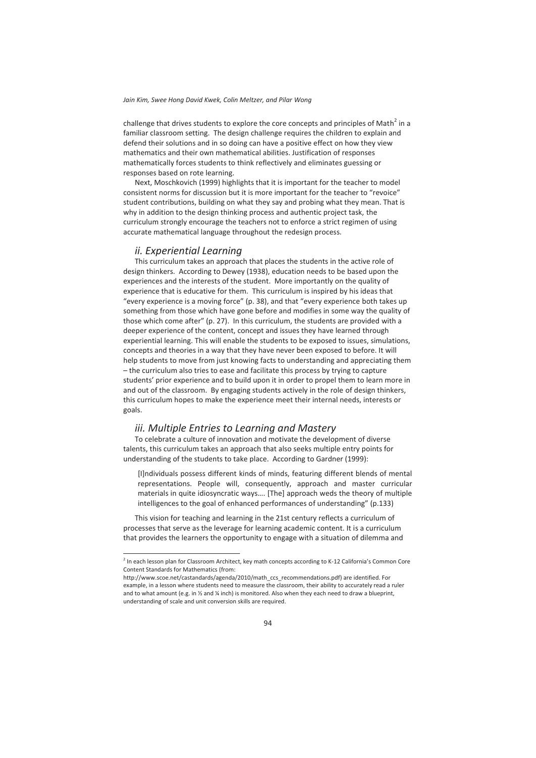challenge that drives students to explore the core concepts and principles of Math<sup>2</sup> in a familiar classroom setting. The design challenge requires the children to explain and defend their solutions and in so doing can have a positive effect on how they view mathematics and their own mathematical abilities. Justification of responses mathematically forces students to think reflectively and eliminates guessing or responses based on rote learning.

Next, Moschkovich (1999) highlights that it is important for the teacher to model consistent norms for discussion but it is more important for the teacher to "revoice" student contributions, building on what they say and probing what they mean. That is why in addition to the design thinking process and authentic project task, the curriculum strongly encourage the teachers not to enforce a strict regimen of using accurate mathematical language throughout the redesign process.

#### *ii. Experiential Learning*

This curriculum takes an approach that places the students in the active role of design thinkers. According to Dewey (1938), education needs to be based upon the experiences and the interests of the student. More importantly on the quality of experience that is educative for them. This curriculum is inspired by his ideas that "every experience is a moving force" (p. 38), and that "every experience both takes up something from those which have gone before and modifies in some way the quality of those which come after" (p. 27). In this curriculum, the students are provided with a deeper experience of the content, concept and issues they have learned through experiential learning. This will enable the students to be exposed to issues, simulations, concepts and theories in a way that they have never been exposed to before. It will help students to move from just knowing facts to understanding and appreciating them – the curriculum also tries to ease and facilitate this process by trying to capture students' prior experience and to build upon it in order to propel them to learn more in and out of the classroom. By engaging students actively in the role of design thinkers, this curriculum hopes to make the experience meet their internal needs, interests or goals.

#### *iii. Multiple Entries to Learning and Mastery*

To celebrate a culture of innovation and motivate the development of diverse talents, this curriculum takes an approach that also seeks multiple entry points for understanding of the students to take place. According to Gardner (1999):

[I]ndividuals possess different kinds of minds, featuring different blends of mental representations. People will, consequently, approach and master curricular materials in quite idiosyncratic ways…. [The] approach weds the theory of multiple intelligences to the goal of enhanced performances of understanding" (p.133)

This vision for teaching and learning in the 21st century reflects a curriculum of processes that serve as the leverage for learning academic content. It is a curriculum that provides the learners the opportunity to engage with a situation of dilemma and

 2 In each lesson plan for Classroom Architect, key math concepts according to K-12 California's Common Core Content Standards for Mathematics (from:

http://www.scoe.net/castandards/agenda/2010/math\_ccs\_recommendations.pdf) are identified. For example, in a lesson where students need to measure the classroom, their ability to accurately read a ruler and to what amount (e.g. in % and % inch) is monitored. Also when they each need to draw a blueprint, understanding of scale and unit conversion skills are required.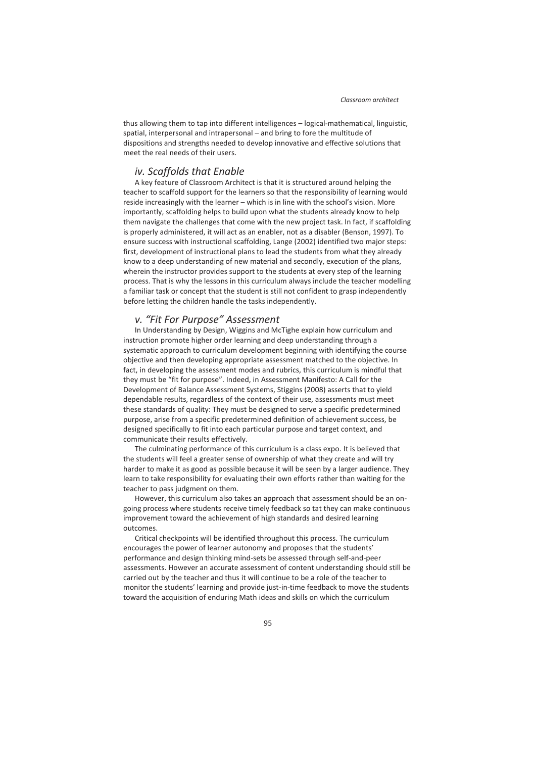thus allowing them to tap into different intelligences – logical-mathematical, linguistic, spatial, interpersonal and intrapersonal – and bring to fore the multitude of dispositions and strengths needed to develop innovative and effective solutions that meet the real needs of their users.

#### *iv. Scaffolds that Enable*

A key feature of Classroom Architect is that it is structured around helping the teacher to scaffold support for the learners so that the responsibility of learning would reside increasingly with the learner – which is in line with the school's vision. More importantly, scaffolding helps to build upon what the students already know to help them navigate the challenges that come with the new project task. In fact, if scaffolding is properly administered, it will act as an enabler, not as a disabler (Benson, 1997). To ensure success with instructional scaffolding, Lange (2002) identified two major steps: first, development of instructional plans to lead the students from what they already know to a deep understanding of new material and secondly, execution of the plans, wherein the instructor provides support to the students at every step of the learning process. That is why the lessons in this curriculum always include the teacher modelling a familiar task or concept that the student is still not confident to grasp independently before letting the children handle the tasks independently.

## *v. "Fit For Purpose" Assessment*

In Understanding by Design, Wiggins and McTighe explain how curriculum and instruction promote higher order learning and deep understanding through a systematic approach to curriculum development beginning with identifying the course objective and then developing appropriate assessment matched to the objective. In fact, in developing the assessment modes and rubrics, this curriculum is mindful that they must be "fit for purpose". Indeed, in Assessment Manifesto: A Call for the Development of Balance Assessment Systems, Stiggins (2008) asserts that to yield dependable results, regardless of the context of their use, assessments must meet these standards of quality: They must be designed to serve a specific predetermined purpose, arise from a specific predetermined definition of achievement success, be designed specifically to fit into each particular purpose and target context, and communicate their results effectively.

The culminating performance of this curriculum is a class expo. It is believed that the students will feel a greater sense of ownership of what they create and will try harder to make it as good as possible because it will be seen by a larger audience. They learn to take responsibility for evaluating their own efforts rather than waiting for the teacher to pass judgment on them.

However, this curriculum also takes an approach that assessment should be an ongoing process where students receive timely feedback so tat they can make continuous improvement toward the achievement of high standards and desired learning outcomes.

Critical checkpoints will be identified throughout this process. The curriculum encourages the power of learner autonomy and proposes that the students' performance and design thinking mind-sets be assessed through self-and-peer assessments. However an accurate assessment of content understanding should still be carried out by the teacher and thus it will continue to be a role of the teacher to monitor the students' learning and provide just-in-time feedback to move the students toward the acquisition of enduring Math ideas and skills on which the curriculum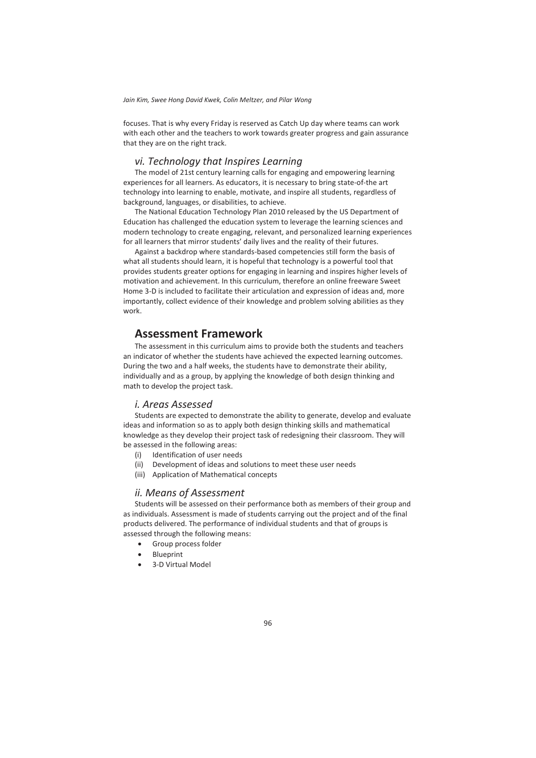focuses. That is why every Friday is reserved as Catch Up day where teams can work with each other and the teachers to work towards greater progress and gain assurance that they are on the right track.

## *vi. Technology that Inspires Learning*

The model of 21st century learning calls for engaging and empowering learning experiences for all learners. As educators, it is necessary to bring state-of-the art technology into learning to enable, motivate, and inspire all students, regardless of background, languages, or disabilities, to achieve.

The National Education Technology Plan 2010 released by the US Department of Education has challenged the education system to leverage the learning sciences and modern technology to create engaging, relevant, and personalized learning experiences for all learners that mirror students' daily lives and the reality of their futures.

Against a backdrop where standards-based competencies still form the basis of what all students should learn, it is hopeful that technology is a powerful tool that provides students greater options for engaging in learning and inspires higher levels of motivation and achievement. In this curriculum, therefore an online freeware Sweet Home 3-D is included to facilitate their articulation and expression of ideas and, more importantly, collect evidence of their knowledge and problem solving abilities as they work.

## **Assessment Framework**

The assessment in this curriculum aims to provide both the students and teachers an indicator of whether the students have achieved the expected learning outcomes. During the two and a half weeks, the students have to demonstrate their ability, individually and as a group, by applying the knowledge of both design thinking and math to develop the project task.

#### *i. Areas Assessed*

Students are expected to demonstrate the ability to generate, develop and evaluate ideas and information so as to apply both design thinking skills and mathematical knowledge as they develop their project task of redesigning their classroom. They will be assessed in the following areas:

- (i) Identification of user needs
- (ii) Development of ideas and solutions to meet these user needs
- (iii) Application of Mathematical concepts

## *ii. Means of Assessment*

Students will be assessed on their performance both as members of their group and as individuals. Assessment is made of students carrying out the project and of the final products delivered. The performance of individual students and that of groups is assessed through the following means:

- Group process folder
- **Blueprint**
- x 3-D Virtual Model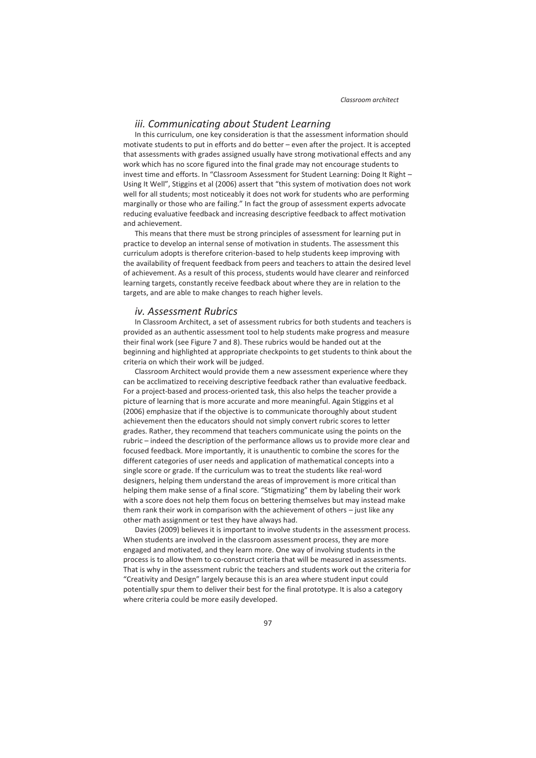#### *iii. Communicating about Student Learning*

In this curriculum, one key consideration is that the assessment information should motivate students to put in efforts and do better – even after the project. It is accepted that assessments with grades assigned usually have strong motivational effects and any work which has no score figured into the final grade may not encourage students to invest time and efforts. In "Classroom Assessment for Student Learning: Doing It Right – Using It Well", Stiggins et al (2006) assert that "this system of motivation does not work well for all students; most noticeably it does not work for students who are performing marginally or those who are failing." In fact the group of assessment experts advocate reducing evaluative feedback and increasing descriptive feedback to affect motivation and achievement.

This means that there must be strong principles of assessment for learning put in practice to develop an internal sense of motivation in students. The assessment this curriculum adopts is therefore criterion-based to help students keep improving with the availability of frequent feedback from peers and teachers to attain the desired level of achievement. As a result of this process, students would have clearer and reinforced learning targets, constantly receive feedback about where they are in relation to the targets, and are able to make changes to reach higher levels.

#### *iv. Assessment Rubrics*

In Classroom Architect, a set of assessment rubrics for both students and teachers is provided as an authentic assessment tool to help students make progress and measure their final work (see Figure 7 and 8). These rubrics would be handed out at the beginning and highlighted at appropriate checkpoints to get students to think about the criteria on which their work will be judged.

Classroom Architect would provide them a new assessment experience where they can be acclimatized to receiving descriptive feedback rather than evaluative feedback. For a project-based and process-oriented task, this also helps the teacher provide a picture of learning that is more accurate and more meaningful. Again Stiggins et al (2006) emphasize that if the objective is to communicate thoroughly about student achievement then the educators should not simply convert rubric scores to letter grades. Rather, they recommend that teachers communicate using the points on the rubric – indeed the description of the performance allows us to provide more clear and focused feedback. More importantly, it is unauthentic to combine the scores for the different categories of user needs and application of mathematical concepts into a single score or grade. If the curriculum was to treat the students like real-word designers, helping them understand the areas of improvement is more critical than helping them make sense of a final score. "Stigmatizing" them by labeling their work with a score does not help them focus on bettering themselves but may instead make them rank their work in comparison with the achievement of others – just like any other math assignment or test they have always had.

Davies (2009) believes it is important to involve students in the assessment process. When students are involved in the classroom assessment process, they are more engaged and motivated, and they learn more. One way of involving students in the process is to allow them to co-construct criteria that will be measured in assessments. That is why in the assessment rubric the teachers and students work out the criteria for "Creativity and Design" largely because this is an area where student input could potentially spur them to deliver their best for the final prototype. It is also a category where criteria could be more easily developed.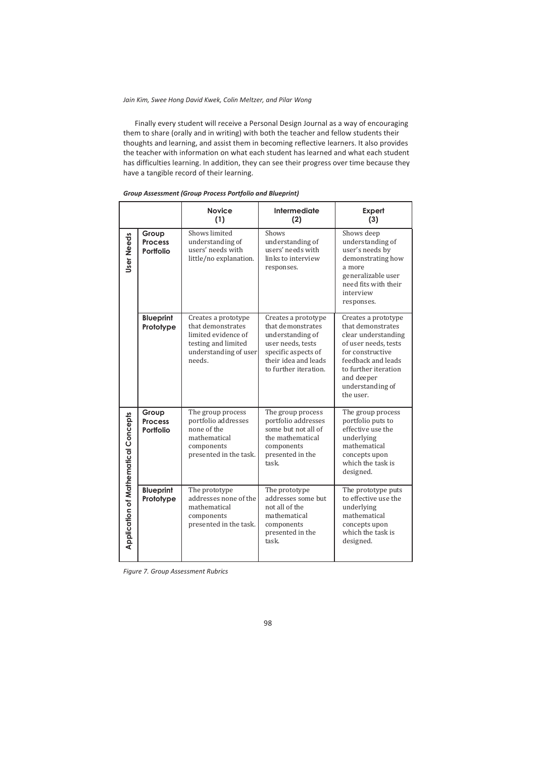Finally every student will receive a Personal Design Journal as a way of encouraging them to share (orally and in writing) with both the teacher and fellow students their thoughts and learning, and assist them in becoming reflective learners. It also provides the teacher with information on what each student has learned and what each student has difficulties learning. In addition, they can see their progress over time because they have a tangible record of their learning.

|                                      |                                      | <b>Novice</b><br>(1)                                                                                                      | <b>Intermediate</b><br>(2)                                                                                                                                | Expert<br>(3)                                                                                                                                                                                            |
|--------------------------------------|--------------------------------------|---------------------------------------------------------------------------------------------------------------------------|-----------------------------------------------------------------------------------------------------------------------------------------------------------|----------------------------------------------------------------------------------------------------------------------------------------------------------------------------------------------------------|
| User Needs                           | Group<br><b>Process</b><br>Portfolio | Shows limited<br>understanding of<br>users' needs with<br>little/no explanation.                                          | Shows<br>understanding of<br>users' needs with<br>links to interview<br>responses.                                                                        | Shows deep<br>understanding of<br>user's needs by<br>demonstrating how<br>a more<br>generalizable user<br>need fits with their<br>interview<br>responses.                                                |
|                                      | <b>Blueprint</b><br>Prototype        | Creates a prototype<br>that demonstrates<br>limited evidence of<br>testing and limited<br>understanding of user<br>needs. | Creates a prototype<br>that demonstrates<br>understanding of<br>user needs, tests<br>specific aspects of<br>their idea and leads<br>to further iteration. | Creates a prototype<br>that demonstrates<br>clear understanding<br>of user needs, tests<br>for constructive<br>feedback and leads<br>to further iteration<br>and deeper<br>understanding of<br>the user. |
| Application of Mathematical Concepts | Group<br><b>Process</b><br>Portfolio | The group process<br>portfolio addresses<br>none of the<br>mathematical<br>components<br>presented in the task.           | The group process<br>portfolio addresses<br>some but not all of<br>the mathematical<br>components<br>presented in the<br>task.                            | The group process<br>portfolio puts to<br>effective use the<br>underlying<br>mathematical<br>concepts upon<br>which the task is<br>designed.                                                             |
|                                      | <b>Blueprint</b><br>Prototype        | The prototype<br>addresses none of the<br>mathematical<br>components<br>presented in the task.                            | The prototype<br>addresses some but<br>not all of the<br>mathematical<br>components<br>presented in the<br>task.                                          | The prototype puts<br>to effective use the<br>underlying<br>mathematical<br>concepts upon<br>which the task is<br>designed.                                                                              |

#### *Group Assessment (Group Process Portfolio and Blueprint)*

*Figure 7. Group Assessment Rubrics*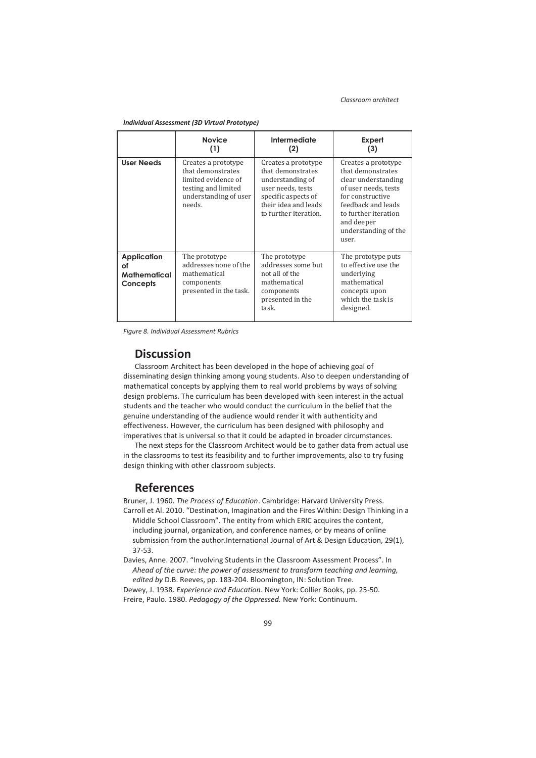|                                                      | <b>Novice</b><br>(1)                                                                                                      | Intermediate<br>(2)                                                                                                                                       | Expert<br>(3)                                                                                                                                                                                            |
|------------------------------------------------------|---------------------------------------------------------------------------------------------------------------------------|-----------------------------------------------------------------------------------------------------------------------------------------------------------|----------------------------------------------------------------------------------------------------------------------------------------------------------------------------------------------------------|
| <b>User Needs</b>                                    | Creates a prototype<br>that demonstrates<br>limited evidence of<br>testing and limited<br>understanding of user<br>needs. | Creates a prototype<br>that demonstrates<br>understanding of<br>user needs, tests<br>specific aspects of<br>their idea and leads<br>to further iteration. | Creates a prototype<br>that demonstrates<br>clear understanding<br>of user needs, tests<br>for constructive<br>feedback and leads<br>to further iteration<br>and deeper<br>understanding of the<br>user. |
| <b>Application</b><br>of<br>Mathematical<br>Concepts | The prototype<br>addresses none of the<br>mathematical<br>components<br>presented in the task.                            | The prototype<br>addresses some but<br>not all of the<br>mathematical<br>components<br>presented in the<br>task.                                          | The prototype puts<br>to effective use the<br>underlying<br>mathematical<br>concepts upon<br>which the task is<br>designed.                                                                              |

*Individual Assessment (3D Virtual Prototype)* 

*Figure 8. Individual Assessment Rubrics* 

### **Discussion**

Classroom Architect has been developed in the hope of achieving goal of disseminating design thinking among young students. Also to deepen understanding of mathematical concepts by applying them to real world problems by ways of solving design problems. The curriculum has been developed with keen interest in the actual students and the teacher who would conduct the curriculum in the belief that the genuine understanding of the audience would render it with authenticity and effectiveness. However, the curriculum has been designed with philosophy and imperatives that is universal so that it could be adapted in broader circumstances.

The next steps for the Classroom Architect would be to gather data from actual use in the classrooms to test its feasibility and to further improvements, also to try fusing design thinking with other classroom subjects.

## **References**

Bruner, J. 1960. *The Process of Education*. Cambridge: Harvard University Press. Carroll et Al. 2010. "Destination, Imagination and the Fires Within: Design Thinking in a Middle School Classroom". The entity from which ERIC acquires the content, including journal, organization, and conference names, or by means of online submission from the author.International Journal of Art & Design Education, 29(1), 37-53.

Davies, Anne. 2007. "Involving Students in the Classroom Assessment Process". In *Ahead of the curve: the power of assessment to transform teaching and learning, edited by* D.B. Reeves, pp. 183-204. Bloomington, IN: Solution Tree.

Dewey, J. 1938. *Experience and Education*. New York: Collier Books, pp. 25-50. Freire, Paulo. 1980. *Pedagogy of the Oppressed.* New York: Continuum.